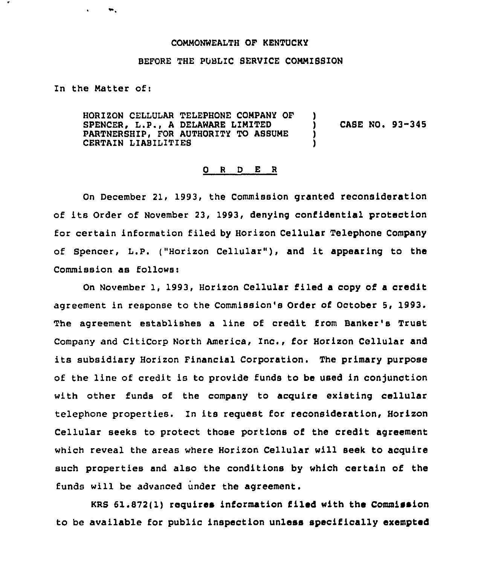## COMMONWEALTH OF KENTUCKY

## BEFORE THE PUBLIC SERVICE COMMISSION

In the Matter ofi

 $\bullet$ 

HORIZON CELLULAR TELEPHONE COMPANY OF )<br>SPENCER. L.P.. A DELAWARE LIMITED SPENCER, L.P., A DELAWARE LIMITED  $\qquad$  ) CASE NO. 93-345<br>PARTNERSHIP, FOR AUTHORITY TO ASSUME PARTNERSHIP, FOR AUTHORITY TO ASSUME )<br>CERTAIN LIABILITIES CERTAIN LIABILITIES

## 0 <sup>R</sup> <sup>D</sup> E <sup>R</sup>

On December 21, 1993, the Commission granted reconsideration of its Order of November 23, 1993, denying confidential protection for certain information filed by Horizon Cellular Telephone Company of Spencer, L.P. ("Horizon Cellular" ), and it appearing to the Commission as follows:

On November 1, 1993, Horizon Cellular filed <sup>a</sup> copy of <sup>a</sup> credit agreement in response to the Commission's Order of October 5, 1993. The agreement establishes a line of credit from Banker's Trust Company and CitiCorp North America, Inc., for Horizon Cellular and its subsidiary Horizon Financial Corporation. The primary purpose of the line of credit is to provide funds to be used in conjunction with other funds of the company to acquire existing cellular telephone properties. In its request for reconsideration, Horizon Cellular seeks to protect those portions of the credit agreement which reveal the areas where Horizon Cellular will seek to acquire such properties and also the conditions by which certain of the funds will be advanced under the agreement.

KRS 61.872(1) requires information filed with the Commission to be available for public inspection unless specifically exempted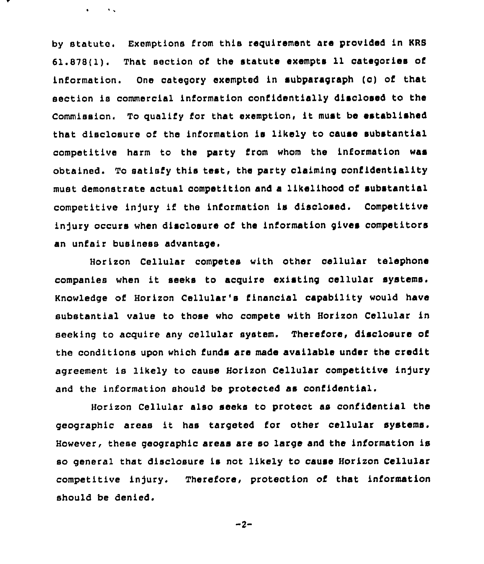by statute. Exemptions from this requirement are provided in KRS 61.878(1). That section of the statute exempts 11 categories of information. One category exempted in subparagraph (c) of that section ie commercial information confidentially disclosed to the Commission. To qualify for that exemption, it must be established that disclosure of the information is likely to cause substantial competitive harm to the party from whom the information was obtained. To satisfy this test, the party claiming confidentiality must demonstrate actual competition and a likelihood of substantial competitive injury if the information is disclosed. Competitive indury occurs when disclosure of the information gives competitors an unfair business advantage.

 $\mathbf{r} = \mathbf{r} + \mathbf{r}$ 

Horizon Cellular competes with other cellular telephone companies when it seeks to acquire existing cellular systems. Knowledge of Horizon Cellular 's financial capability would have substantial value to those who compete with Horixon Cellular in seeking to acquire any cellular system. Therefore, disclosure of the conditions upon which funds are made available under the credit agreement is likely to cause Horizon Cellular competitive injury and the information should be protected as confidential.

Horixon Cellular also seeks to protect as confidential the geographic areas it has targeted for other cellular systems. However, these geographic areas are so large and the infcrmation is so general that disclosure is not likely to cause Horixon Cellular competitive injury. Therefore, protection of that information should be denied.

$$
-2-
$$